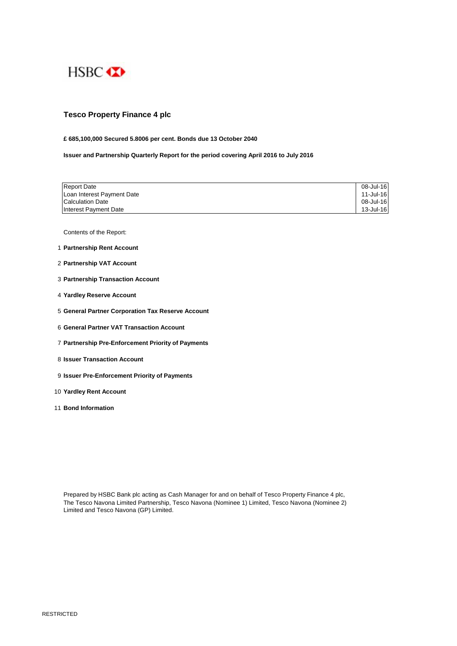

# **Tesco Property Finance 4 plc**

## **£ 685,100,000 Secured 5.8006 per cent. Bonds due 13 October 2040**

**Issuer and Partnership Quarterly Report for the period covering April 2016 to July 2016**

| <b>Report Date</b>         | 08-Jul-16 |
|----------------------------|-----------|
| Loan Interest Payment Date | 11-Jul-16 |
| <b>Calculation Date</b>    | 08-Jul-16 |
| Interest Payment Date      | 13-Jul-16 |

Contents of the Report:

- 1 **Partnership Rent Account**
- 2 **Partnership VAT Account**
- 3 **Partnership Transaction Account**
- 4 **Yardley Reserve Account**
- 5 **General Partner Corporation Tax Reserve Account**
- 6 **General Partner VAT Transaction Account**
- 7 **Partnership Pre-Enforcement Priority of Payments**
- 8 **Issuer Transaction Account**
- 9 **Issuer Pre-Enforcement Priority of Payments**
- 10 **Yardley Rent Account**
- 11 **Bond Information**

Prepared by HSBC Bank plc acting as Cash Manager for and on behalf of Tesco Property Finance 4 plc, The Tesco Navona Limited Partnership, Tesco Navona (Nominee 1) Limited, Tesco Navona (Nominee 2) Limited and Tesco Navona (GP) Limited.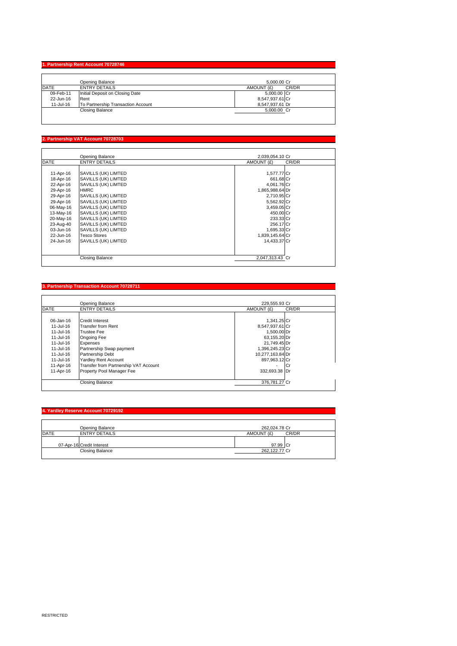### **1. Partnership Rent Account 707**

|           | Opening Balance                    | 5.000.00 Cr         |
|-----------|------------------------------------|---------------------|
| DATE      | <b>ENTRY DETAILS</b>               | CR/DR<br>AMOUNT (£) |
| 09-Feb-11 | Initial Deposit on Closing Date    | 5,000.00 Cr         |
| 22-Jun-16 | Rent                               | 8,547,937.61 Cr     |
| 11-Jul-16 | To Partnership Transaction Account | 8.547.937.61 Dr     |
|           | Closing Balance                    | 5,000.00 Cr         |
|           |                                    |                     |

### **2. Partnership VAT Account 70728703**

|             | Opening Balance        | 2,039,054.10 Cr |       |
|-------------|------------------------|-----------------|-------|
| <b>DATE</b> | <b>ENTRY DETAILS</b>   | AMOUNT (£)      | CR/DR |
|             |                        |                 |       |
| 11-Apr-16   | SAVILLS (UK) LIMTED    | 1,577.77 Cr     |       |
| 18-Apr-16   | SAVILLS (UK) LIMTED    | 661.68 Cr       |       |
| 22-Apr-16   | SAVILLS (UK) LIMTED    | 4,061.76 Cr     |       |
| 29-Apr-16   | <b>HMRC</b>            | 1,865,988.64 Dr |       |
| 29-Apr-16   | SAVILLS (UK) LIMTED    | 2,710.95 Cr     |       |
| 29-Apr-16   | SAVILLS (UK) LIMTED    | 5,562.92 Cr     |       |
| 06-May-16   | SAVILLS (UK) LIMTED    | 3,459.05 Cr     |       |
| 13-May-16   | SAVILLS (UK) LIMTED    | 450.00 Cr       |       |
| 20-May-16   | SAVILLS (UK) LIMTED    | 233.33 Cr       |       |
| 23-Aug-40   | SAVILLS (UK) LIMTED    | 256.17 Cr       |       |
| 03-Jun-16   | SAVILLS (UK) LIMTED    | 1,695.33 Cr     |       |
| 22-Jun-16   | <b>Tesco Stores</b>    | 1,839,145.64 Cr |       |
| 24-Jun-16   | SAVILLS (UK) LIMTED    | 14,433.37 Cr    |       |
|             |                        |                 |       |
|             | <b>Closing Balance</b> | 2,047,313.43 Cr |       |

### **3. Partnership Transaction Account 70728711**

|             | Opening Balance                       | 229,555,93 Cr                  |  |
|-------------|---------------------------------------|--------------------------------|--|
| <b>DATE</b> | <b>ENTRY DETAILS</b>                  | CR/DR<br>AMOUNT (£)            |  |
|             |                                       |                                |  |
| 06-Jan-16   | <b>Credit Interest</b>                | 1,341.25 Cr                    |  |
| 11-Jul-16   | Transfer from Rent                    | 8,547,937.61 Cr                |  |
| 11-Jul-16   | <b>Trustee Fee</b>                    | 1.500.00 Dr                    |  |
| 11-Jul-16   | <b>Ongoing Fee</b>                    | 63,155.20 Dr                   |  |
| 11-Jul-16   | Expenses                              | 21.749.45 Dr                   |  |
| 11-Jul-16   | Partnership Swap payment              | 1,396,245.23 Cr                |  |
| 11-Jul-16   | Partnership Debt                      | 10,277,163.84 Dr               |  |
| 11-Jul-16   | <b>Yardley Rent Account</b>           | 897,963.12 Cr                  |  |
| 11-Apr-16   | Transfer from Partnership VAT Account | Юı<br>$\overline{\phantom{a}}$ |  |
| 11-Apr-16   | Property Pool Manager Fee             | 332.693.38 Dr                  |  |
|             | <b>Closing Balance</b>                | 376,781.27 Cr                  |  |

### **4. Yardley Reserve Account 70729192**

| Opening Balance                                     | 262,024.78 Cr             |       |
|-----------------------------------------------------|---------------------------|-------|
| DATE<br><b>ENTRY DETAILS</b>                        | AMOUNT (£)                | CR/DR |
| 07-Apr-16 Credit Interest<br><b>Closing Balance</b> | 97.99 Cr<br>262,122.77 Cr |       |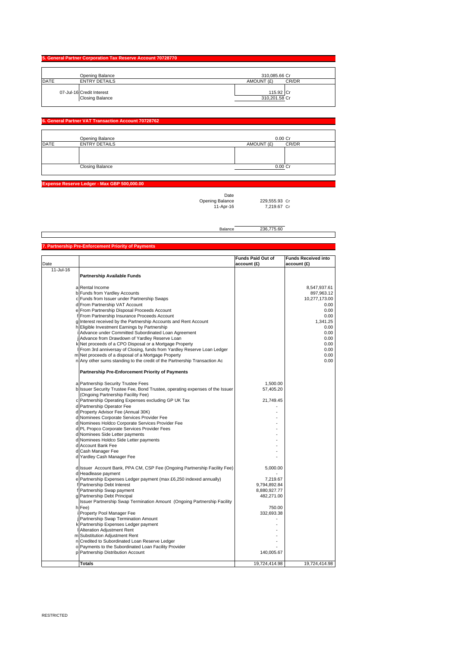| 5. General Partner Corporation Tax Reserve Account 70728770 |                                                     |                            |
|-------------------------------------------------------------|-----------------------------------------------------|----------------------------|
|                                                             | Opening Balance                                     | 310.085.66 Cr              |
| <b>DATE</b>                                                 | <b>ENTRY DETAILS</b>                                | CR/DR<br>AMOUNT (£)        |
|                                                             | 07-Jul-16 Credit Interest<br><b>Closing Balance</b> | 115.92 Cr<br>310,201.58 Cr |

### **6. General Partner VAT Transaction Ac**

|             | Opening Balance        | 0.00 Cr             |
|-------------|------------------------|---------------------|
| <b>DATE</b> | <b>ENTRY DETAILS</b>   | CR/DR<br>AMOUNT (£) |
|             |                        |                     |
|             |                        |                     |
|             |                        |                     |
|             | <b>Closing Balance</b> | $0.00C$ r           |
|             |                        |                     |

**Expense Reserve Ledger - Max GBP 500,000.00**

Date Opening Balance 229,555.93 Cr

229,555.93 Cr<br>7,219.67 Cr

Balance 236,775.60

|           | 7. Partnership Pre-Enforcement Priority of Payments                                              |                          |                            |
|-----------|--------------------------------------------------------------------------------------------------|--------------------------|----------------------------|
|           |                                                                                                  | <b>Funds Paid Out of</b> | <b>Funds Received into</b> |
| Date      |                                                                                                  | account (£)              | account (£)                |
| 11-Jul-16 |                                                                                                  |                          |                            |
|           | Partnership Available Funds                                                                      |                          |                            |
|           |                                                                                                  |                          |                            |
|           | a Rental Income                                                                                  |                          | 8,547,937.61               |
|           | b Funds from Yardley Accounts                                                                    |                          | 897,963.12                 |
|           | c Funds from Issuer under Partnership Swaps                                                      |                          | 10,277,173.00              |
|           | d From Partnership VAT Account                                                                   |                          | 0.00                       |
|           | e From Partnership Disposal Proceeds Account                                                     |                          | 0.00                       |
|           | f From Partnership Insurance Proceeds Account                                                    |                          | 0.00                       |
|           | g Interest received by the Partnership Accounts and Rent Account                                 |                          | 1,341.25                   |
|           | h Eligible Investment Earnings by Partnership                                                    |                          | 0.00                       |
|           | i Advance under Committed Subordinated Loan Agreement                                            |                          | 0.00                       |
|           | j Advance from Drawdown of Yardley Reserve Loan                                                  |                          | 0.00                       |
|           | k Net proceeds of a CPO Disposal or a Mortgage Property                                          |                          | 0.00                       |
|           | I From 3rd anniversay of Closing, funds from Yardley Reserve Loan Ledger                         |                          | 0.00                       |
|           | m Net proceeds of a disposal of a Mortgage Property                                              |                          | 0.00                       |
|           | n Any other sums standing to the credit of the Partnership Transaction Ac                        |                          | 0.00                       |
|           | Partnership Pre-Enforcement Priority of Payments                                                 |                          |                            |
|           | a Partnership Security Trustee Fees                                                              | 1,500.00                 |                            |
|           | b Issuer Security Trustee Fee, Bond Trustee, operating expenses of the Issuer                    | 57,405.20                |                            |
|           | (Ongoing Partnership Facility Fee)                                                               |                          |                            |
|           | c Partnership Operating Expenses excluding GP UK Tax                                             | 21,749.45                |                            |
|           | d Partnership Operator Fee                                                                       |                          |                            |
|           | d Property Advisor Fee (Annual 30K)                                                              |                          |                            |
|           | d Nominees Corporate Services Provider Fee                                                       |                          |                            |
|           | d Nominees Holdco Corporate Services Provider Fee                                                |                          |                            |
|           | d PL Propco Corporate Services Provider Fees                                                     |                          |                            |
|           | d Nominees Side Letter payments                                                                  |                          |                            |
|           | d Nominees Holdco Side Letter payments                                                           |                          |                            |
|           | d Account Bank Fee                                                                               |                          |                            |
|           | d Cash Manager Fee                                                                               |                          |                            |
|           | d Yardley Cash Manager Fee                                                                       |                          |                            |
|           |                                                                                                  |                          |                            |
|           | d Issuer Account Bank, PPA CM, CSP Fee (Ongoing Partnership Facility Fee)<br>d Headlease payment | 5,000.00                 |                            |
|           | e Partnership Expenses Ledger payment (max £6,250 indexed annually)                              | 7,219.67                 |                            |
|           | f Partnership Debt Interest                                                                      | 9,794,892.84             |                            |
|           | f Partnership Swap payment                                                                       | 8,880,927.77             |                            |
|           | g Partnership Debt Principal                                                                     | 482,271.00               |                            |
|           | Issuer Partnership Swap Termination Amount (Ongoing Partnership Facility                         |                          |                            |
|           | h Fee)                                                                                           | 750.00                   |                            |
|           | Property Pool Manager Fee                                                                        | 332.693.38               |                            |
|           | j Partnership Swap Termination Amount                                                            |                          |                            |
|           | k Partnership Expenses Ledger payment                                                            |                          |                            |
|           | Alteration Adjustment Rent                                                                       |                          |                            |
|           | m Substitution Adjustment Rent                                                                   |                          |                            |
|           | n Credited to Subordinated Loan Reserve Ledger                                                   |                          |                            |
|           | o Payments to the Subordinated Loan Facility Provider                                            |                          |                            |
|           | p Partnership Distribution Account                                                               | 140,005.67               |                            |
|           | <b>Totals</b>                                                                                    | 19,724,414.98            | 19,724,414.98              |
|           |                                                                                                  |                          |                            |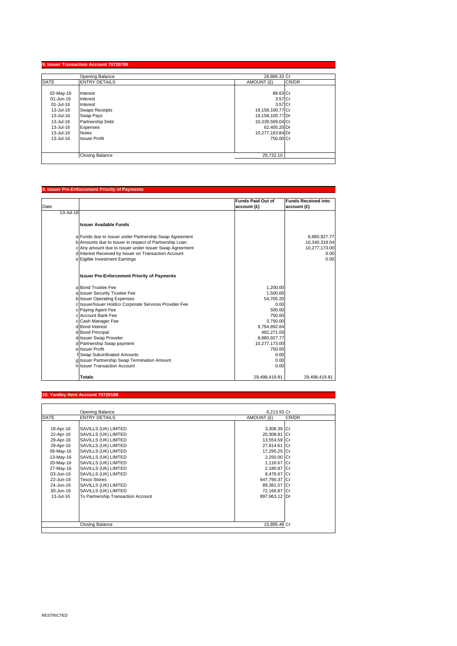|             | Opening Balance        | 28.886.33 Cr        |  |
|-------------|------------------------|---------------------|--|
| <b>DATE</b> | <b>ENTRY DETAILS</b>   | CR/DR<br>AMOUNT (£) |  |
|             |                        |                     |  |
| 02-May-16   | Interest               | 88.63 Cr            |  |
| 01-Jun-16   | Interest               | 3.57 Cr             |  |
| 01-Jul-16   | Interest               | 3.57 Cr             |  |
| 13-Jul-16   | <b>Swaps Receipts</b>  | 19,158,100.77 Cr    |  |
| 13-Jul-16   | Swap Pays              | 19,158,100.77 Dr    |  |
| 13-Jul-16   | Partnership Debt       | 10,339,569.04 Cr    |  |
| 13-Jul-16   | <b>Expenses</b>        | 62,405.20 Dr        |  |
| 13-Jul-16   | <b>Notes</b>           | 10,277,163.84 Dr    |  |
| 13-Jul-16   | <b>Issuer Profit</b>   | 750.00 Cr           |  |
|             |                        |                     |  |
|             | <b>Closing Balance</b> | 29.732.10           |  |

# **9. Issuer Pre-Enforcement Priority of Payments** Date **Funds Paid Out of account (£) Funds Received into account (£)** 13-Jul-16 **Issuer Available Funds** a Funds due to Issuer under Partnership Swap Agreement<br>
b Amounts due to Issuer in respect of Partnership Loan<br>
c Any amount due to Issuer on Transaction Account<br>
d Interest Received by Issuer on Transaction Account<br>
e Eig **Issuer Pre-Enforcement Priority of Payments** a Bond Trustee Fee 1,200.00<br>a Issuer Security Trustee Fee 1,500.00 a Issuer Security Trustee Fee 1,500.00<br>
a Issuer Security Trustee Fee 1,500.00<br>
Issuer Operating Expenses 54,705.20<br>
c Paying Agent Fee 1,000.00<br>
c Account Bank Fee 500.00<br>
c Account Bank Fee 750.00 b Issuer Operating Expenses 54,705.20 c Issuer/Issuer Holdco Corporate Services Provider Fee 0.00 Paying Agent Fee Account Bank Fee 750.00<br>Cash Manager Fee 750.00<br>Cash Manager Fee 3,750.00 Cash Manager Fee 3,750.00<br>
Bond Interest 3,794,892.84<br>
Bond Principal 482,271.00<br>
Age 3,794,892.84<br>
Age 3,794,892.84<br>
Age 3,794,892.84 d Bond Interest 9,794,892.84 d Bond Principal 482,271.00 d Issuer Swap Provider and the Issuer Swap Provider and the Issuer Swap Provider and the Issuer Section 1999. d Partnership Swap payment<br>| Partnership Swap payment e<br>
0,000,527.173.00<br>
750.00<br>
0.00<br>
0.00 f Swap Subordinated Amounts 0.00 g Issuer Partnership Swap Termination Amount 0.00 Second Account 0.000 methods of the University Account 0.000 methods of the University O.000 methods of the University O.000 methods of the University O.000 methods of the University O.000 methods of the University O.000 m **Totals** 29,498,419.81 29,498,419.81

### **Yardley Rent Account 70**

|             | Opening Balance                    | 8,213.93 Cr   |       |
|-------------|------------------------------------|---------------|-------|
| <b>DATE</b> | <b>ENTRY DETAILS</b>               | AMOUNT (£)    | CR/DR |
|             |                                    |               |       |
| 18-Apr-16   | SAVILLS (UK) LIMTED                | 3,308.39 Cr   |       |
| 22-Apr-16   | SAVILLS (UK) LIMTED                | 20,308.81 Cr  |       |
| 29-Apr-16   | SAVILLS (UK) LIMTED                | 13,554.59 Cr  |       |
| 29-Apr-16   | SAVILLS (UK) LIMTED                | 27,814.61 Cr  |       |
| 06-May-16   | SAVILLS (UK) LIMTED                | 17,295.25 Cr  |       |
| 13-May-16   | SAVILLS (UK) LIMTED                | 2,250.00 Cr   |       |
| 20-May-16   | SAVILLS (UK) LIMTED                | 1,116.67 Cr   |       |
| 27-May-16   | SAVILLS (UK) LIMTED                | 2,180.87 Cr   |       |
| 03-Jun-16   | SAVILLS (UK) LIMTED                | 8,476.67 Cr   |       |
| 22-Jun-16   | <b>Tesco Stores</b>                | 647.790.37 Cr |       |
| 24-Jun-16   | SAVILLS (UK) LIMTED                | 89,381.57 Cr  |       |
| 30-Jun-16   | SAVILLS (UK) LIMTED                | 72,166.87 Cr  |       |
| 13-Jul-16   | To Partnership Transaction Account | 897,963.12 Dr |       |
|             |                                    |               |       |
|             |                                    |               |       |
|             |                                    |               |       |
|             |                                    |               |       |
|             | Closing Balance                    | 15,895.48 Cr  |       |